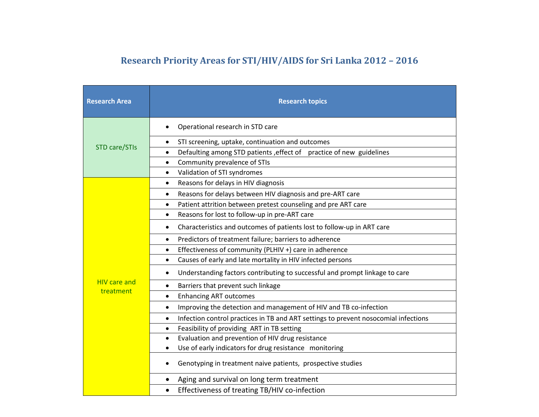## **Research Priority Areas for STI/HIV/AIDS for Sri Lanka 2012 – 2016**

| <b>Research Area</b> | <b>Research topics</b>                                                                           |
|----------------------|--------------------------------------------------------------------------------------------------|
| STD care/STIs        | Operational research in STD care<br>$\bullet$                                                    |
|                      | STI screening, uptake, continuation and outcomes<br>$\bullet$                                    |
|                      | Defaulting among STD patients , effect of practice of new guidelines<br>$\bullet$                |
|                      | Community prevalence of STIs<br>$\bullet$                                                        |
|                      | Validation of STI syndromes<br>$\bullet$                                                         |
|                      | Reasons for delays in HIV diagnosis<br>$\bullet$                                                 |
|                      | Reasons for delays between HIV diagnosis and pre-ART care<br>$\bullet$                           |
|                      | Patient attrition between pretest counseling and pre ART care<br>$\bullet$                       |
|                      | Reasons for lost to follow-up in pre-ART care<br>$\bullet$                                       |
|                      | Characteristics and outcomes of patients lost to follow-up in ART care<br>$\bullet$              |
|                      | Predictors of treatment failure; barriers to adherence<br>$\bullet$                              |
|                      | Effectiveness of community (PLHIV +) care in adherence<br>$\bullet$                              |
|                      | Causes of early and late mortality in HIV infected persons<br>$\bullet$                          |
|                      | Understanding factors contributing to successful and prompt linkage to care                      |
| <b>HIV care and</b>  | Barriers that prevent such linkage<br>$\bullet$                                                  |
| treatment            | <b>Enhancing ART outcomes</b><br>$\bullet$                                                       |
|                      | Improving the detection and management of HIV and TB co-infection<br>$\bullet$                   |
|                      | Infection control practices in TB and ART settings to prevent nosocomial infections<br>$\bullet$ |
|                      | Feasibility of providing ART in TB setting<br>$\bullet$                                          |
|                      | Evaluation and prevention of HIV drug resistance<br>$\bullet$                                    |
|                      | Use of early indicators for drug resistance monitoring                                           |
|                      | Genotyping in treatment naive patients, prospective studies                                      |
|                      | Aging and survival on long term treatment                                                        |
|                      | Effectiveness of treating TB/HIV co-infection<br>$\bullet$                                       |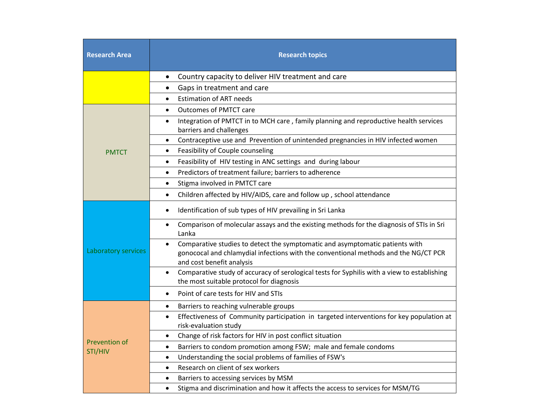| <b>Research Area</b>     | <b>Research topics</b>                                                                                                                                                                                        |
|--------------------------|---------------------------------------------------------------------------------------------------------------------------------------------------------------------------------------------------------------|
|                          | Country capacity to deliver HIV treatment and care<br>$\bullet$                                                                                                                                               |
|                          | Gaps in treatment and care<br>$\bullet$                                                                                                                                                                       |
|                          | <b>Estimation of ART needs</b><br>$\bullet$                                                                                                                                                                   |
|                          | <b>Outcomes of PMTCT care</b><br>$\bullet$                                                                                                                                                                    |
|                          | Integration of PMTCT in to MCH care, family planning and reproductive health services<br>$\bullet$<br>barriers and challenges                                                                                 |
|                          | Contraceptive use and Prevention of unintended pregnancies in HIV infected women<br>$\bullet$                                                                                                                 |
| <b>PMTCT</b>             | Feasibility of Couple counseling<br>$\bullet$                                                                                                                                                                 |
|                          | Feasibility of HIV testing in ANC settings and during labour<br>$\bullet$                                                                                                                                     |
|                          | Predictors of treatment failure; barriers to adherence<br>$\bullet$                                                                                                                                           |
|                          | Stigma involved in PMTCT care<br>$\bullet$                                                                                                                                                                    |
|                          | Children affected by HIV/AIDS, care and follow up, school attendance<br>$\bullet$                                                                                                                             |
|                          | Identification of sub types of HIV prevailing in Sri Lanka<br>$\bullet$                                                                                                                                       |
| Laboratory services      | Comparison of molecular assays and the existing methods for the diagnosis of STIs in Sri<br>$\bullet$<br>Lanka                                                                                                |
|                          | Comparative studies to detect the symptomatic and asymptomatic patients with<br>$\bullet$<br>gonococal and chlamydial infections with the conventional methods and the NG/CT PCR<br>and cost benefit analysis |
|                          | Comparative study of accuracy of serological tests for Syphilis with a view to establishing<br>$\bullet$<br>the most suitable protocol for diagnosis                                                          |
|                          | Point of care tests for HIV and STIs<br>$\bullet$                                                                                                                                                             |
|                          | Barriers to reaching vulnerable groups<br>$\bullet$                                                                                                                                                           |
|                          | Effectiveness of Community participation in targeted interventions for key population at<br>$\bullet$<br>risk-evaluation study                                                                                |
|                          | Change of risk factors for HIV in post conflict situation<br>$\bullet$                                                                                                                                        |
| Prevention of<br>STI/HIV | Barriers to condom promotion among FSW; male and female condoms<br>٠                                                                                                                                          |
|                          | Understanding the social problems of families of FSW's<br>$\bullet$                                                                                                                                           |
|                          | Research on client of sex workers<br>$\bullet$                                                                                                                                                                |
|                          | Barriers to accessing services by MSM<br>٠                                                                                                                                                                    |
|                          | Stigma and discrimination and how it affects the access to services for MSM/TG<br>$\bullet$                                                                                                                   |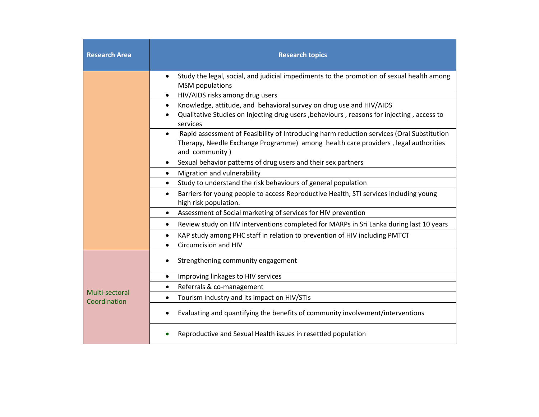| <b>Research Area</b>           | <b>Research topics</b>                                                                                                                                                                                         |
|--------------------------------|----------------------------------------------------------------------------------------------------------------------------------------------------------------------------------------------------------------|
|                                | Study the legal, social, and judicial impediments to the promotion of sexual health among<br><b>MSM</b> populations                                                                                            |
|                                | HIV/AIDS risks among drug users<br>$\bullet$                                                                                                                                                                   |
|                                | Knowledge, attitude, and behavioral survey on drug use and HIV/AIDS<br>$\bullet$                                                                                                                               |
|                                | Qualitative Studies on Injecting drug users, behaviours, reasons for injecting, access to<br>services                                                                                                          |
|                                | Rapid assessment of Feasibility of Introducing harm reduction services (Oral Substitution<br>$\bullet$<br>Therapy, Needle Exchange Programme) among health care providers, legal authorities<br>and community) |
|                                | Sexual behavior patterns of drug users and their sex partners<br>$\bullet$                                                                                                                                     |
|                                | Migration and vulnerability<br>$\bullet$                                                                                                                                                                       |
|                                | Study to understand the risk behaviours of general population<br>$\bullet$                                                                                                                                     |
|                                | Barriers for young people to access Reproductive Health, STI services including young<br>$\bullet$<br>high risk population.                                                                                    |
|                                | Assessment of Social marketing of services for HIV prevention<br>$\bullet$                                                                                                                                     |
|                                | Review study on HIV interventions completed for MARPs in Sri Lanka during last 10 years<br>$\bullet$                                                                                                           |
|                                | KAP study among PHC staff in relation to prevention of HIV including PMTCT<br>$\bullet$                                                                                                                        |
|                                | Circumcision and HIV<br>$\bullet$                                                                                                                                                                              |
|                                | Strengthening community engagement                                                                                                                                                                             |
|                                | Improving linkages to HIV services<br>$\bullet$                                                                                                                                                                |
|                                | Referrals & co-management<br>$\bullet$                                                                                                                                                                         |
| Multi-sectoral<br>Coordination | Tourism industry and its impact on HIV/STIs<br>$\bullet$                                                                                                                                                       |
|                                | Evaluating and quantifying the benefits of community involvement/interventions                                                                                                                                 |
|                                | Reproductive and Sexual Health issues in resettled population                                                                                                                                                  |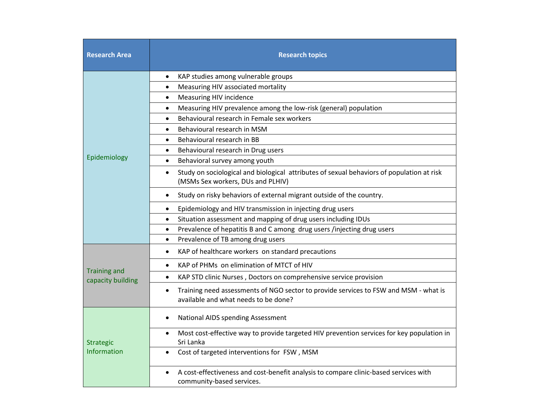| <b>Research Area</b>                     | <b>Research topics</b>                                                                                                                      |
|------------------------------------------|---------------------------------------------------------------------------------------------------------------------------------------------|
|                                          | KAP studies among vulnerable groups<br>$\bullet$                                                                                            |
|                                          | Measuring HIV associated mortality<br>$\bullet$                                                                                             |
|                                          | Measuring HIV incidence<br>$\bullet$                                                                                                        |
|                                          | Measuring HIV prevalence among the low-risk (general) population<br>$\bullet$                                                               |
|                                          | Behavioural research in Female sex workers<br>$\bullet$                                                                                     |
|                                          | Behavioural research in MSM<br>$\bullet$                                                                                                    |
|                                          | Behavioural research in BB<br>$\bullet$                                                                                                     |
|                                          | Behavioural research in Drug users<br>$\bullet$                                                                                             |
| Epidemiology                             | Behavioral survey among youth<br>$\bullet$                                                                                                  |
|                                          | Study on sociological and biological attributes of sexual behaviors of population at risk<br>$\bullet$<br>(MSMs Sex workers, DUs and PLHIV) |
|                                          | Study on risky behaviors of external migrant outside of the country.<br>$\bullet$                                                           |
|                                          | Epidemiology and HIV transmission in injecting drug users<br>$\bullet$                                                                      |
|                                          | Situation assessment and mapping of drug users including IDUs<br>$\bullet$                                                                  |
|                                          | Prevalence of hepatitis B and C among drug users /injecting drug users<br>$\bullet$                                                         |
|                                          | Prevalence of TB among drug users<br>$\bullet$                                                                                              |
|                                          | KAP of healthcare workers on standard precautions<br>$\bullet$                                                                              |
|                                          | KAP of PHMs on elimination of MTCT of HIV<br>$\bullet$                                                                                      |
| <b>Training and</b><br>capacity building | KAP STD clinic Nurses, Doctors on comprehensive service provision<br>$\bullet$                                                              |
|                                          | Training need assessments of NGO sector to provide services to FSW and MSM - what is<br>$\bullet$<br>available and what needs to be done?   |
| <b>Strategic</b><br>Information          | <b>National AIDS spending Assessment</b><br>$\bullet$                                                                                       |
|                                          | Most cost-effective way to provide targeted HIV prevention services for key population in<br>$\bullet$<br>Sri Lanka                         |
|                                          | Cost of targeted interventions for FSW, MSM                                                                                                 |
|                                          | A cost-effectiveness and cost-benefit analysis to compare clinic-based services with<br>community-based services.                           |